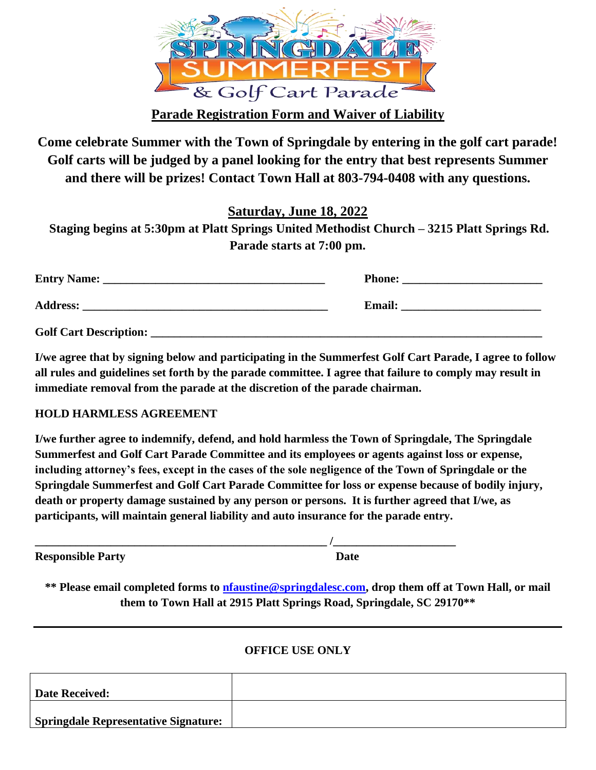

**Parade Registration Form and Waiver of Liability**

**Come celebrate Summer with the Town of Springdale by entering in the golf cart parade! Golf carts will be judged by a panel looking for the entry that best represents Summer and there will be prizes! Contact Town Hall at 803-794-0408 with any questions.**

**Saturday, June 18, 2022**

**Staging begins at 5:30pm at Platt Springs United Methodist Church – 3215 Platt Springs Rd. Parade starts at 7:00 pm.** 

| <b>Entry Name:</b><br><u> 1989 - Johann Stoff, deutscher Stoff, der Stoff, der Stoff, der Stoff, der Stoff, der Stoff, der Stoff, der S</u> | <b>Phone:</b> |
|---------------------------------------------------------------------------------------------------------------------------------------------|---------------|
| <b>Address:</b>                                                                                                                             | <b>Email:</b> |
| <b>Golf Cart Description:</b>                                                                                                               |               |

**I/we agree that by signing below and participating in the Summerfest Golf Cart Parade, I agree to follow all rules and guidelines set forth by the parade committee. I agree that failure to comply may result in immediate removal from the parade at the discretion of the parade chairman.** 

## **HOLD HARMLESS AGREEMENT**

**I/we further agree to indemnify, defend, and hold harmless the Town of Springdale, The Springdale Summerfest and Golf Cart Parade Committee and its employees or agents against loss or expense, including attorney's fees, except in the cases of the sole negligence of the Town of Springdale or the Springdale Summerfest and Golf Cart Parade Committee for loss or expense because of bodily injury, death or property damage sustained by any person or persons. It is further agreed that I/we, as participants, will maintain general liability and auto insurance for the parade entry.**

**Responsible Party Date** 

**\_\_\_\_\_\_\_\_\_\_\_\_\_\_\_\_\_\_\_\_\_\_\_\_\_\_\_\_\_\_\_\_\_\_\_\_\_\_\_\_\_\_\_\_\_\_\_\_\_\_ /\_\_\_\_\_\_\_\_\_\_\_\_\_\_\_\_\_\_\_\_\_**

**\*\* Please email completed forms to [nfaustine@springdalesc.com,](mailto:nfaustine@springdalesc.com) drop them off at Town Hall, or mail them to Town Hall at 2915 Platt Springs Road, Springdale, SC 29170\*\***

## **OFFICE USE ONLY**

| Date Received:                              |  |
|---------------------------------------------|--|
| <b>Springdale Representative Signature:</b> |  |